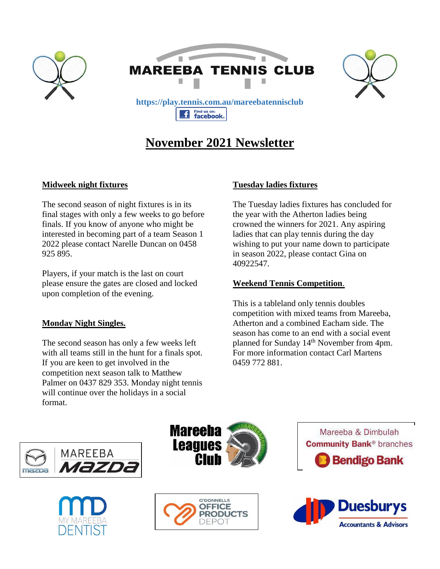

# **November 2021 Newsletter**

## **Midweek night fixtures**

The second season of night fixtures is in its final stages with only a few weeks to go before finals. If you know of anyone who might be interested in becoming part of a team Season 1 2022 please contact Narelle Duncan on 0458 925 895.

Players, if your match is the last on court please ensure the gates are closed and locked upon completion of the evening.

#### **Monday Night Singles.**

The second season has only a few weeks left with all teams still in the hunt for a finals spot. If you are keen to get involved in the competition next season talk to Matthew Palmer on 0437 829 353. Monday night tennis will continue over the holidays in a social format.

## **Tuesday ladies fixtures**

The Tuesday ladies fixtures has concluded for the year with the Atherton ladies being crowned the winners for 2021. Any aspiring ladies that can play tennis during the day wishing to put your name down to participate in season 2022, please contact Gina on 40922547.

### **Weekend Tennis Competition**.

This is a tableland only tennis doubles competition with mixed teams from Mareeba, Atherton and a combined Eacham side. The season has come to an end with a social event planned for Sunday 14<sup>th</sup> November from 4pm. For more information contact Carl Martens 0459 772 881.